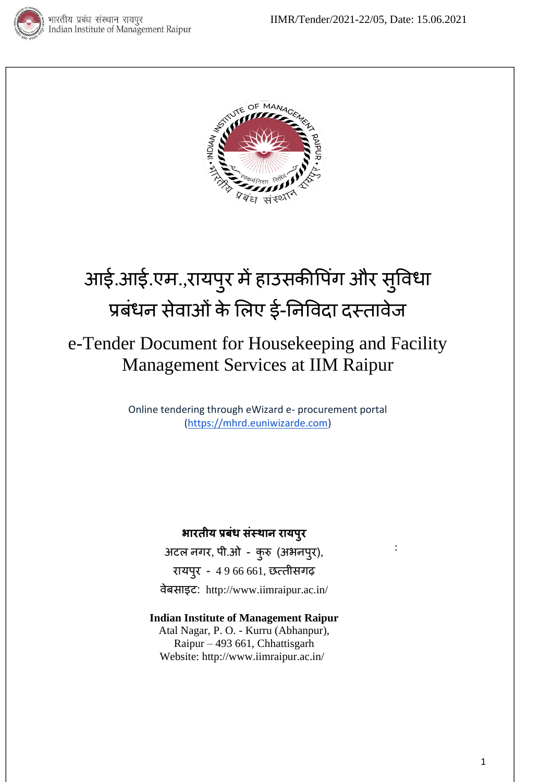



# आई.आई.एम.,रायपुर में हाउसकीपिंग और सुविधा प्रबंधन सेवाओं के लिए ई-निविदा दस्तावेज

# e-Tender Document for Housekeeping and Facility Management Services at IIM Raipur

Online tendering through eWizard e- procurement portal [\(https://mhrd.euniwizarde.com\)](https://mhrd.euniwizarde.com/)

# **भारतीय प्रबंध संस्थान रायपुर**

अटि नगर, पी.ओ - कुरु (अभनपुर), रायपुर - 4 9 66 661, छत्तीसगढ़ िेबसाइट: http://www.iimraipur.ac.in/

#### **Indian Institute of Management Raipur** Atal Nagar, P. O. - Kurru (Abhanpur), Raipur – 493 661, Chhattisgarh Website:<http://www.iimraipur.ac.in/>

: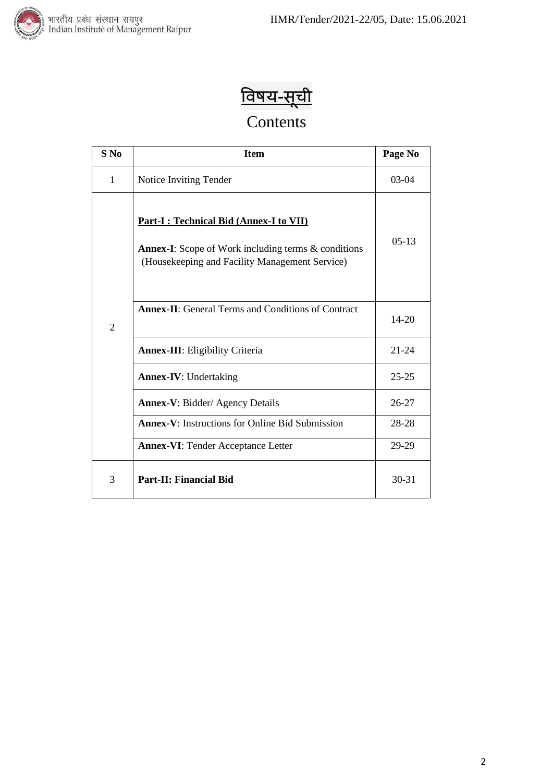



# Contents

| $S$ No         | <b>Item</b>                                                                                                                                             | Page No   |
|----------------|---------------------------------------------------------------------------------------------------------------------------------------------------------|-----------|
| 1              | Notice Inviting Tender                                                                                                                                  | $03-04$   |
|                | Part-I : Technical Bid (Annex-I to VII)<br><b>Annex-I:</b> Scope of Work including terms & conditions<br>(Housekeeping and Facility Management Service) | $05-13$   |
| $\overline{2}$ | <b>Annex-II:</b> General Terms and Conditions of Contract                                                                                               | 14-20     |
|                | <b>Annex-III:</b> Eligibility Criteria                                                                                                                  | $21 - 24$ |
|                | <b>Annex-IV:</b> Undertaking                                                                                                                            | $25 - 25$ |
|                | <b>Annex-V: Bidder/ Agency Details</b>                                                                                                                  | $26 - 27$ |
|                | <b>Annex-V:</b> Instructions for Online Bid Submission                                                                                                  | 28-28     |
|                | <b>Annex-VI: Tender Acceptance Letter</b>                                                                                                               | 29-29     |
| 3              | <b>Part-II: Financial Bid</b>                                                                                                                           | $30 - 31$ |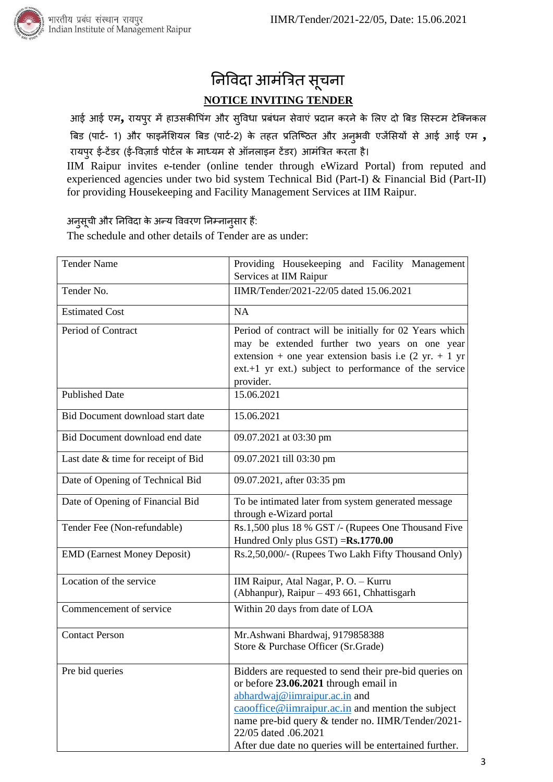



आई आई एम<sub>,</sub> रायपुर में हाउसकीपिंग और सुविधा प्रबंधन सेवाएं प्रदान करने के लिए दो बिड सिस्टम टेक्निकल त्रबड (पाटट- 1) और फाइनेंलियि त्रबड (पाटट-2) के तहत प्रनतक्ठित और अनुभिी एजेंलसयों से आई आई एम **,**  रायपुर ई-टेंडर (ई-विज़ार्ड पोर्टल के माध्यम से ऑनलाइन टेंडर) आमंत्रित करता है।

IIM Raipur invites e-tender (online tender through eWizard Portal) from reputed and experienced agencies under two bid system Technical Bid (Part-I) & Financial Bid (Part-II) for providing Housekeeping and Facility Management Services at IIM Raipur.

अनुसूची और निविदा के अन्य विवरण निम्नानुसार हैं:

The schedule and other details of Tender are as under:

| <b>Tender Name</b>                  | Providing Housekeeping and Facility Management<br>Services at IIM Raipur                                                                                                                                                                                                                                                                                                         |
|-------------------------------------|----------------------------------------------------------------------------------------------------------------------------------------------------------------------------------------------------------------------------------------------------------------------------------------------------------------------------------------------------------------------------------|
| Tender No.                          | IIMR/Tender/2021-22/05 dated 15.06.2021                                                                                                                                                                                                                                                                                                                                          |
| <b>Estimated Cost</b>               | <b>NA</b>                                                                                                                                                                                                                                                                                                                                                                        |
| Period of Contract                  | Period of contract will be initially for 02 Years which<br>may be extended further two years on one year<br>extension + one year extension basis i.e $(2 \text{ yr.} + 1 \text{ yr})$<br>ext.+1 yr ext.) subject to performance of the service<br>provider.                                                                                                                      |
| <b>Published Date</b>               | 15.06.2021                                                                                                                                                                                                                                                                                                                                                                       |
| Bid Document download start date    | 15.06.2021                                                                                                                                                                                                                                                                                                                                                                       |
| Bid Document download end date      | 09.07.2021 at 03:30 pm                                                                                                                                                                                                                                                                                                                                                           |
| Last date & time for receipt of Bid | 09.07.2021 till 03:30 pm                                                                                                                                                                                                                                                                                                                                                         |
| Date of Opening of Technical Bid    | 09.07.2021, after 03:35 pm                                                                                                                                                                                                                                                                                                                                                       |
| Date of Opening of Financial Bid    | To be intimated later from system generated message<br>through e-Wizard portal                                                                                                                                                                                                                                                                                                   |
| Tender Fee (Non-refundable)         | Rs.1,500 plus 18 % GST /- (Rupees One Thousand Five<br>Hundred Only plus GST) = Rs.1770.00                                                                                                                                                                                                                                                                                       |
| <b>EMD</b> (Earnest Money Deposit)  | Rs.2,50,000/- (Rupees Two Lakh Fifty Thousand Only)                                                                                                                                                                                                                                                                                                                              |
| Location of the service             | IIM Raipur, Atal Nagar, P. O. - Kurru<br>(Abhanpur), Raipur - 493 661, Chhattisgarh                                                                                                                                                                                                                                                                                              |
| Commencement of service             | Within 20 days from date of LOA                                                                                                                                                                                                                                                                                                                                                  |
| <b>Contact Person</b>               | Mr.Ashwani Bhardwaj, 9179858388<br>Store & Purchase Officer (Sr.Grade)                                                                                                                                                                                                                                                                                                           |
| Pre bid queries                     | Bidders are requested to send their pre-bid queries on<br>or before 23.06.2021 through email in<br>abhardwaj@iimraipur.ac.in and<br>$\frac{caoof \text{fice@iimraipur.ac.in}}{caoof \text{fice@iimraipur.ac.in}}$ and mention the subject<br>name pre-bid query & tender no. IIMR/Tender/2021-<br>22/05 dated .06.2021<br>After due date no queries will be entertained further. |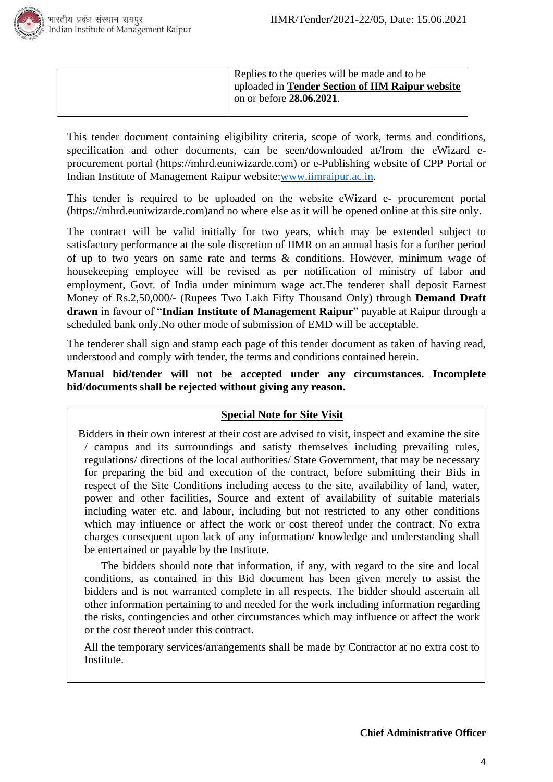

| Replies to the queries will be made and to be<br>uploaded in Tender Section of IIM Raipur website<br>on or before $28.06.2021$ . |  |
|----------------------------------------------------------------------------------------------------------------------------------|--|
|----------------------------------------------------------------------------------------------------------------------------------|--|

This tender document containing eligibility criteria, scope of work, terms and conditions, specification and other documents, can be seen/downloaded at/from the eWizard eprocurement portal (https://mhrd.euniwizarde.com) or e-Publishing website of CPP Portal or Indian Institute of Management Raipur website[:www.iimraipur.ac.in](http://www.iimraipur.ac.in/)[.](http://www.iimu.ac.in/)

This tender is required to be uploaded on the website eWizard e- procurement portal (https://mhrd.euniwizarde.com)and no where else as it will be opened online at this site only.

The contract will be valid initially for two years, which may be extended subject to satisfactory performance at the sole discretion of IIMR on an annual basis for a further period of up to two years on same rate and terms & conditions. However, minimum wage of housekeeping employee will be revised as per notification of ministry of labor and employment, Govt. of India under minimum wage act.The tenderer shall deposit Earnest Money of Rs.2,50,000/- (Rupees Two Lakh Fifty Thousand Only) through **Demand Draft drawn** in favour of "**Indian Institute of Management Raipur**" payable at Raipur through a scheduled bank only.No other mode of submission of EMD will be acceptable.

The tenderer shall sign and stamp each page of this tender document as taken of having read, understood and comply with tender, the terms and conditions contained herein.

#### **Manual bid/tender will not be accepted under any circumstances. Incomplete bid/documents shall be rejected without giving any reason.**

#### **Special Note for Site Visit**

Bidders in their own interest at their cost are advised to visit, inspect and examine the site / campus and its surroundings and satisfy themselves including prevailing rules, regulations/ directions of the local authorities/ State Government, that may be necessary for preparing the bid and execution of the contract, before submitting their Bids in respect of the Site Conditions including access to the site, availability of land, water, power and other facilities, Source and extent of availability of suitable materials including water etc. and labour, including but not restricted to any other conditions which may influence or affect the work or cost thereof under the contract. No extra charges consequent upon lack of any information/ knowledge and understanding shall be entertained or payable by the Institute.

The bidders should note that information, if any, with regard to the site and local conditions, as contained in this Bid document has been given merely to assist the bidders and is not warranted complete in all respects. The bidder should ascertain all other information pertaining to and needed for the work including information regarding the risks, contingencies and other circumstances which may influence or affect the work or the cost thereof under this contract.

 All the temporary services/arrangements shall be made by Contractor at no extra cost to Institute.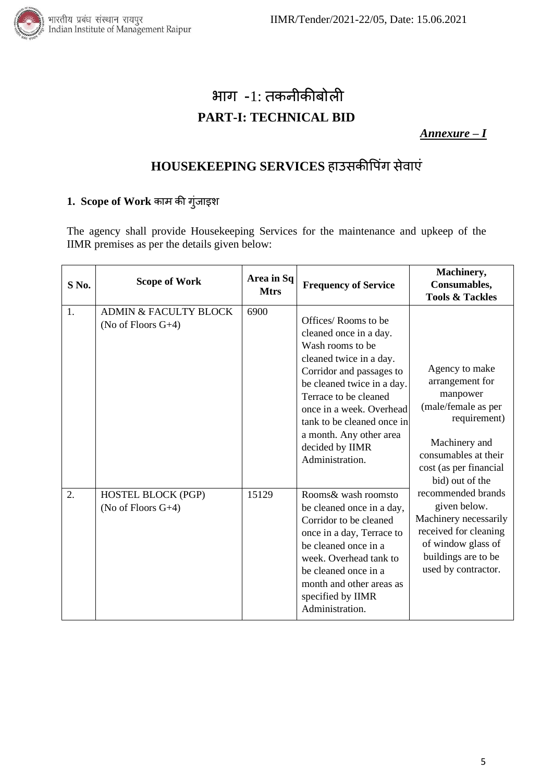

# भाग -1: तकनीकीबोिी **PART-I: TECHNICAL BID**

*Annexure – I*

# HOUSEKEEPING SERVICES हाउसकीपिंग सेवाएं

### **1. Scope of Work** काम की गुिंजाइि

The agency shall provide Housekeeping Services for the maintenance and upkeep of the IIMR premises as per the details given below:

| S No. | <b>Scope of Work</b>                                      | Area in Sq<br><b>Mtrs</b> | <b>Frequency of Service</b>                                                                                                                                                                                                                                                                                | Machinery,<br>Consumables,<br><b>Tools &amp; Tackles</b>                                                                                                                   |
|-------|-----------------------------------------------------------|---------------------------|------------------------------------------------------------------------------------------------------------------------------------------------------------------------------------------------------------------------------------------------------------------------------------------------------------|----------------------------------------------------------------------------------------------------------------------------------------------------------------------------|
| 1.    | <b>ADMIN &amp; FACULTY BLOCK</b><br>(No of Floors $G+4$ ) | 6900                      | Offices/Rooms to be<br>cleaned once in a day.<br>Wash rooms to be<br>cleaned twice in a day.<br>Corridor and passages to<br>be cleaned twice in a day.<br>Terrace to be cleaned<br>once in a week. Overhead<br>tank to be cleaned once in<br>a month. Any other area<br>decided by IIMR<br>Administration. | Agency to make<br>arrangement for<br>manpower<br>(male/female as per<br>requirement)<br>Machinery and<br>consumables at their<br>cost (as per financial<br>bid) out of the |
| 2.    | <b>HOSTEL BLOCK (PGP)</b><br>(No of Floors $G+4$ )        | 15129                     | Rooms& wash roomsto<br>be cleaned once in a day,<br>Corridor to be cleaned<br>once in a day, Terrace to<br>be cleaned once in a<br>week. Overhead tank to<br>be cleaned once in a<br>month and other areas as<br>specified by IIMR<br>Administration.                                                      | recommended brands<br>given below.<br>Machinery necessarily<br>received for cleaning<br>of window glass of<br>buildings are to be<br>used by contractor.                   |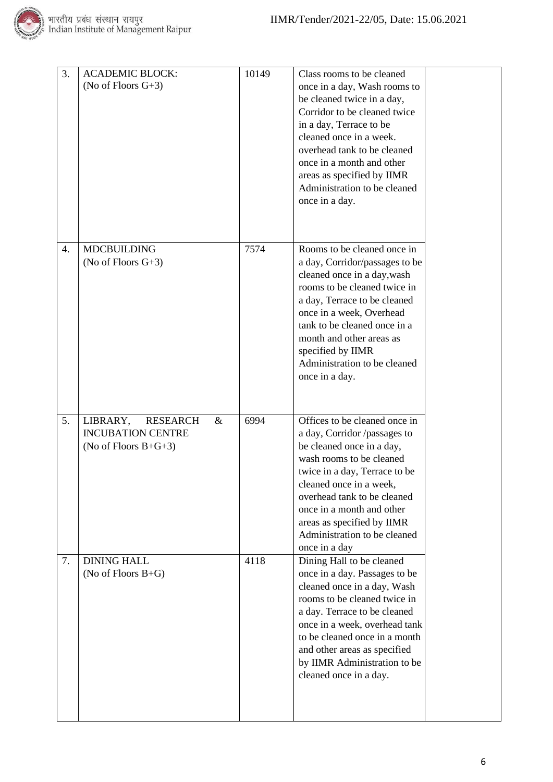

| 3. | <b>ACADEMIC BLOCK:</b><br>(No of Floors $G+3$ )                                            | 10149 | Class rooms to be cleaned<br>once in a day, Wash rooms to<br>be cleaned twice in a day,<br>Corridor to be cleaned twice<br>in a day, Terrace to be<br>cleaned once in a week.<br>overhead tank to be cleaned<br>once in a month and other<br>areas as specified by IIMR<br>Administration to be cleaned<br>once in a day.     |  |
|----|--------------------------------------------------------------------------------------------|-------|-------------------------------------------------------------------------------------------------------------------------------------------------------------------------------------------------------------------------------------------------------------------------------------------------------------------------------|--|
| 4. | <b>MDCBUILDING</b><br>(No of Floors $G+3$ )                                                | 7574  | Rooms to be cleaned once in<br>a day, Corridor/passages to be<br>cleaned once in a day, wash<br>rooms to be cleaned twice in<br>a day, Terrace to be cleaned<br>once in a week, Overhead<br>tank to be cleaned once in a<br>month and other areas as<br>specified by IIMR<br>Administration to be cleaned<br>once in a day.   |  |
| 5. | LIBRARY,<br><b>RESEARCH</b><br>$\&$<br><b>INCUBATION CENTRE</b><br>(No of Floors $B+G+3$ ) | 6994  | Offices to be cleaned once in<br>a day, Corridor /passages to<br>be cleaned once in a day,<br>wash rooms to be cleaned<br>twice in a day, Terrace to be<br>cleaned once in a week,<br>overhead tank to be cleaned<br>once in a month and other<br>areas as specified by IIMR<br>Administration to be cleaned<br>once in a day |  |
| 7. | <b>DINING HALL</b><br>(No of Floors $B+G$ )                                                | 4118  | Dining Hall to be cleaned<br>once in a day. Passages to be<br>cleaned once in a day, Wash<br>rooms to be cleaned twice in<br>a day. Terrace to be cleaned<br>once in a week, overhead tank<br>to be cleaned once in a month<br>and other areas as specified<br>by IIMR Administration to be<br>cleaned once in a day.         |  |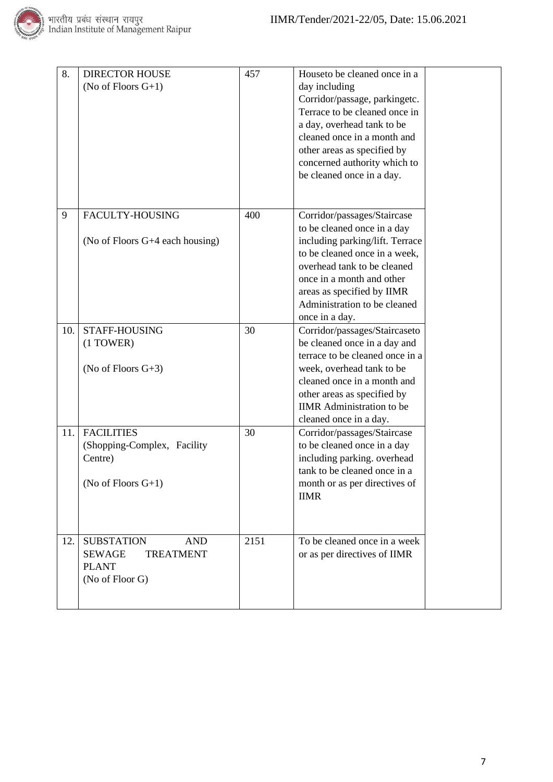

| 8.  | <b>DIRECTOR HOUSE</b><br>(No of Floors $G+1$ )                                                          | 457  | Houseto be cleaned once in a<br>day including<br>Corridor/passage, parkingetc.<br>Terrace to be cleaned once in<br>a day, overhead tank to be<br>cleaned once in a month and<br>other areas as specified by<br>concerned authority which to<br>be cleaned once in a day.   |  |
|-----|---------------------------------------------------------------------------------------------------------|------|----------------------------------------------------------------------------------------------------------------------------------------------------------------------------------------------------------------------------------------------------------------------------|--|
| 9   | FACULTY-HOUSING<br>(No of Floors G+4 each housing)                                                      | 400  | Corridor/passages/Staircase<br>to be cleaned once in a day<br>including parking/lift. Terrace<br>to be cleaned once in a week,<br>overhead tank to be cleaned<br>once in a month and other<br>areas as specified by IIMR<br>Administration to be cleaned<br>once in a day. |  |
| 10. | STAFF-HOUSING<br>$(1)$ TOWER)<br>(No of Floors $G+3$ )                                                  | 30   | Corridor/passages/Staircaseto<br>be cleaned once in a day and<br>terrace to be cleaned once in a<br>week, overhead tank to be<br>cleaned once in a month and<br>other areas as specified by<br><b>IIMR</b> Administration to be<br>cleaned once in a day.                  |  |
| 11. | <b>FACILITIES</b><br>(Shopping-Complex, Facility<br>Centre)<br>(No of Floors $G+1$ )                    | 30   | Corridor/passages/Staircase<br>to be cleaned once in a day<br>including parking. overhead<br>tank to be cleaned once in a<br>month or as per directives of<br><b>IIMR</b>                                                                                                  |  |
| 12. | <b>SUBSTATION</b><br><b>AND</b><br><b>SEWAGE</b><br><b>TREATMENT</b><br><b>PLANT</b><br>(No of Floor G) | 2151 | To be cleaned once in a week<br>or as per directives of IIMR                                                                                                                                                                                                               |  |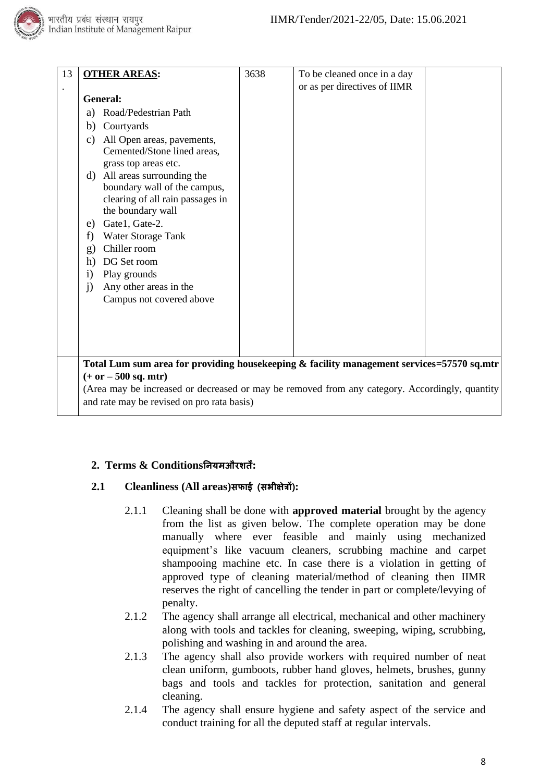

| 13 | <b>OTHER AREAS:</b>                                                                                                   | 3638 | To be cleaned once in a day  |  |
|----|-----------------------------------------------------------------------------------------------------------------------|------|------------------------------|--|
|    |                                                                                                                       |      | or as per directives of IIMR |  |
|    | General:                                                                                                              |      |                              |  |
|    | Road/Pedestrian Path<br>a)                                                                                            |      |                              |  |
|    | Courtyards<br>b)                                                                                                      |      |                              |  |
|    | All Open areas, pavements,<br>c)<br>Cemented/Stone lined areas,                                                       |      |                              |  |
|    | grass top areas etc.                                                                                                  |      |                              |  |
|    | d) All areas surrounding the<br>boundary wall of the campus,<br>clearing of all rain passages in<br>the boundary wall |      |                              |  |
|    | Gate1, Gate-2.<br>e)                                                                                                  |      |                              |  |
|    | Water Storage Tank<br>f)                                                                                              |      |                              |  |
|    | Chiller room<br>g)                                                                                                    |      |                              |  |
|    | DG Set room<br>h)                                                                                                     |      |                              |  |
|    | Play grounds<br>$\mathbf{i}$                                                                                          |      |                              |  |
|    | Any other areas in the<br>$\mathbf{i}$                                                                                |      |                              |  |
|    | Campus not covered above                                                                                              |      |                              |  |
|    |                                                                                                                       |      |                              |  |
|    |                                                                                                                       |      |                              |  |
|    |                                                                                                                       |      |                              |  |
|    | Total Lum sum area for providing housekeeping & facility management services=57570 sq.mtr                             |      |                              |  |
|    | $(+ or - 500 sq. mtr)$                                                                                                |      |                              |  |
|    | (Area may be increased or decreased or may be removed from any category. Accordingly, quantity                        |      |                              |  |
|    | and rate may be revised on pro rata basis)                                                                            |      |                              |  |

#### **2. Terms & Conditionsननयमऔरशतें:**

#### **2.1 Cleanliness (All areas)सफाई (सभीक्षेत्रों):**

- 2.1.1 Cleaning shall be done with **approved material** brought by the agency from the list as given below. The complete operation may be done manually where ever feasible and mainly using mechanized equipment's like vacuum cleaners, scrubbing machine and carpet shampooing machine etc. In case there is a violation in getting of approved type of cleaning material/method of cleaning then IIMR reserves the right of cancelling the tender in part or complete/levying of penalty.
- 2.1.2 The agency shall arrange all electrical, mechanical and other machinery along with tools and tackles for cleaning, sweeping, wiping, scrubbing, polishing and washing in and around the area.
- 2.1.3 The agency shall also provide workers with required number of neat clean uniform, gumboots, rubber hand gloves, helmets, brushes, gunny bags and tools and tackles for protection, sanitation and general cleaning.
- 2.1.4 The agency shall ensure hygiene and safety aspect of the service and conduct training for all the deputed staff at regular intervals.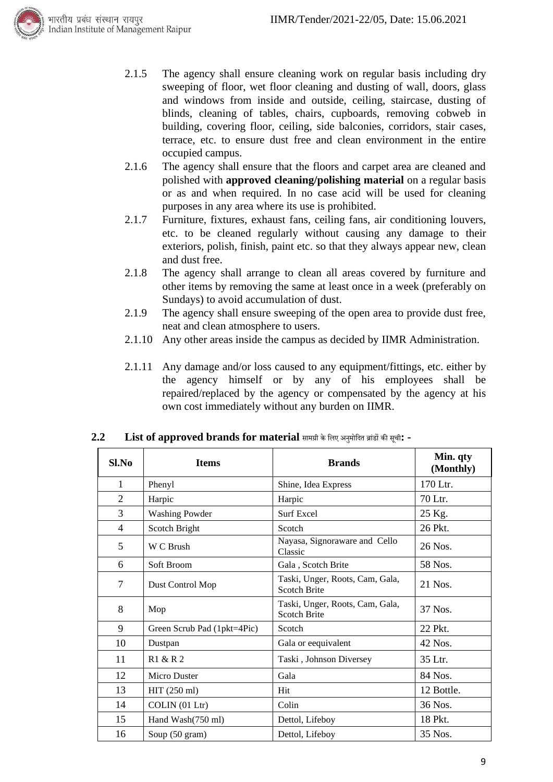

- 2.1.5 The agency shall ensure cleaning work on regular basis including dry sweeping of floor, wet floor cleaning and dusting of wall, doors, glass and windows from inside and outside, ceiling, staircase, dusting of blinds, cleaning of tables, chairs, cupboards, removing cobweb in building, covering floor, ceiling, side balconies, corridors, stair cases, terrace, etc. to ensure dust free and clean environment in the entire occupied campus.
- 2.1.6 The agency shall ensure that the floors and carpet area are cleaned and polished with **approved cleaning/polishing material** on a regular basis or as and when required. In no case acid will be used for cleaning purposes in any area where its use is prohibited.
- 2.1.7 Furniture, fixtures, exhaust fans, ceiling fans, air conditioning louvers, etc. to be cleaned regularly without causing any damage to their exteriors, polish, finish, paint etc. so that they always appear new, clean and dust free.
- 2.1.8 The agency shall arrange to clean all areas covered by furniture and other items by removing the same at least once in a week (preferably on Sundays) to avoid accumulation of dust.
- 2.1.9 The agency shall ensure sweeping of the open area to provide dust free, neat and clean atmosphere to users.
- 2.1.10 Any other areas inside the campus as decided by IIMR Administration.
- 2.1.11 Any damage and/or loss caused to any equipment/fittings, etc. either by the agency himself or by any of his employees shall be repaired/replaced by the agency or compensated by the agency at his own cost immediately without any burden on IIMR.

| Sl.No          | <b>Items</b>                | <b>Brands</b>                                          | Min. qty<br>(Monthly) |
|----------------|-----------------------------|--------------------------------------------------------|-----------------------|
| 1              | Phenyl                      | Shine, Idea Express                                    | 170 Ltr.              |
| $\overline{2}$ | Harpic                      | Harpic                                                 | 70 Ltr.               |
| 3              | <b>Washing Powder</b>       | <b>Surf Excel</b>                                      | 25 Kg.                |
| $\overline{4}$ | Scotch Bright               | Scotch                                                 | 26 Pkt.               |
| 5              | W C Brush                   | Nayasa, Signoraware and Cello<br>Classic               | 26 Nos.               |
| 6              | Soft Broom                  | Gala, Scotch Brite                                     | 58 Nos.               |
| 7              | Dust Control Mop            | Taski, Unger, Roots, Cam, Gala,<br><b>Scotch Brite</b> | $21$ Nos.             |
| 8              | Mop                         | Taski, Unger, Roots, Cam, Gala,<br>Scotch Brite        | 37 Nos.               |
| 9              | Green Scrub Pad (1pkt=4Pic) | Scotch                                                 | 22 Pkt.               |
| 10             | Dustpan                     | Gala or eequivalent                                    | 42 Nos.               |
| 11             | R1 & R 2                    | Taski, Johnson Diversey                                | 35 Ltr.               |
| 12             | Micro Duster                | Gala                                                   | 84 Nos.               |
| 13             | HIT (250 ml)                | Hit                                                    | 12 Bottle.            |
| 14             | COLIN (01 Ltr)              | Colin                                                  | 36 Nos.               |
| 15             | Hand Wash(750 ml)           | Dettol, Lifeboy                                        | 18 Pkt.               |
| 16             | Soup (50 gram)              | Dettol, Lifeboy                                        | 35 Nos.               |

#### **2.2 List of approved brands for material** सामग्री केलिए अनुमोलित ब्ाांडों की सूची**: -**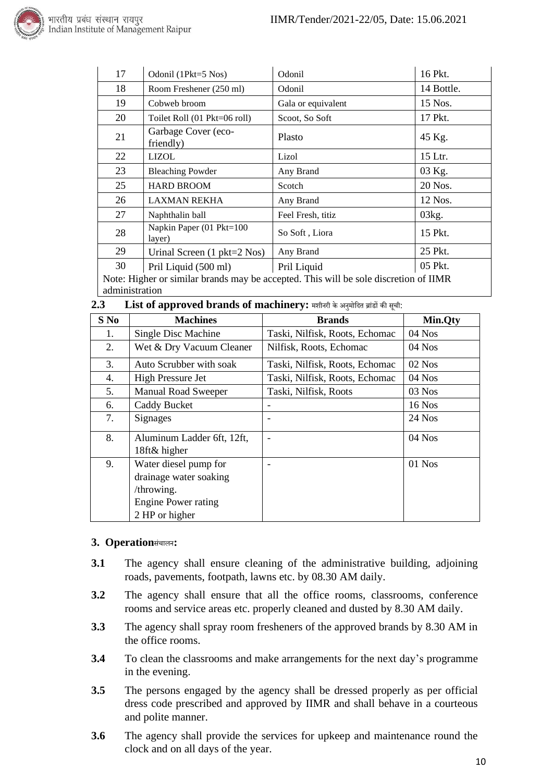

| 17 | Odonil (1Pkt=5 Nos)                   | Odonil                                                                              | 16 Pkt.    |
|----|---------------------------------------|-------------------------------------------------------------------------------------|------------|
| 18 | Room Freshener (250 ml)               | Odonil                                                                              | 14 Bottle. |
| 19 | Cobweb broom                          | Gala or equivalent                                                                  | 15 Nos.    |
| 20 | Toilet Roll (01 Pkt=06 roll)          | Scoot, So Soft                                                                      | 17 Pkt.    |
| 21 | Garbage Cover (eco-<br>friendly)      | Plasto                                                                              | 45 Kg.     |
| 22 | <b>LIZOL</b>                          | Lizol                                                                               | 15 Ltr.    |
| 23 | <b>Bleaching Powder</b>               | Any Brand                                                                           | 03 Kg.     |
| 25 | <b>HARD BROOM</b>                     | Scotch                                                                              | 20 Nos.    |
| 26 | <b>LAXMAN REKHA</b>                   | Any Brand                                                                           | 12 Nos.    |
| 27 | Naphthalin ball                       | Feel Fresh, titiz                                                                   | 03kg.      |
| 28 | Napkin Paper (01 Pkt=100<br>layer)    | So Soft, Liora                                                                      | 15 Pkt.    |
| 29 | Urinal Screen $(1 \text{ pkt=2 Nos})$ | Any Brand                                                                           | 25 Pkt.    |
| 30 | Pril Liquid (500 ml)                  | Pril Liquid                                                                         | 05 Pkt.    |
|    |                                       | Note: Higher or similar brands may be accepted. This will be sole discretion of HMR |            |

similar brands may be accepted. This will be sole discretion of IIMR administration

| 2.3 |  | List of approved brands of machinery: मशीनरी के अनुमोदित ब्रांडों की सूची: |  |
|-----|--|----------------------------------------------------------------------------|--|
|-----|--|----------------------------------------------------------------------------|--|

| S No | <b>Machines</b>                                                                                        | <b>Brands</b>                  | Min.Qty  |
|------|--------------------------------------------------------------------------------------------------------|--------------------------------|----------|
| 1.   | Single Disc Machine                                                                                    | Taski, Nilfisk, Roots, Echomac | 04 Nos   |
| 2.   | Wet & Dry Vacuum Cleaner                                                                               | Nilfisk, Roots, Echomac        | 04 Nos   |
| 3.   | Auto Scrubber with soak                                                                                | Taski, Nilfisk, Roots, Echomac | $02$ Nos |
| 4.   | <b>High Pressure Jet</b>                                                                               | Taski, Nilfisk, Roots, Echomac | 04 Nos   |
| 5.   | <b>Manual Road Sweeper</b>                                                                             | Taski, Nilfisk, Roots          | $03$ Nos |
| 6.   | Caddy Bucket                                                                                           |                                | 16 Nos   |
| 7.   | <b>Signages</b>                                                                                        | ٠                              | 24 Nos   |
| 8.   | Aluminum Ladder 6ft, 12ft,<br>18ft& higher                                                             |                                | 04 Nos   |
| 9.   | Water diesel pump for<br>drainage water soaking<br>/throwing.<br>Engine Power rating<br>2 HP or higher |                                | 01 Nos   |

#### **3. Operation**सांचािन**:**

- **3.1** The agency shall ensure cleaning of the administrative building, adjoining roads, pavements, footpath, lawns etc. by 08.30 AM daily.
- **3.2** The agency shall ensure that all the office rooms, classrooms, conference rooms and service areas etc. properly cleaned and dusted by 8.30 AM daily.
- **3.3** The agency shall spray room fresheners of the approved brands by 8.30 AM in the office rooms.
- **3.4** To clean the classrooms and make arrangements for the next day's programme in the evening.
- **3.5** The persons engaged by the agency shall be dressed properly as per official dress code prescribed and approved by IIMR and shall behave in a courteous and polite manner.
- **3.6** The agency shall provide the services for upkeep and maintenance round the clock and on all days of the year.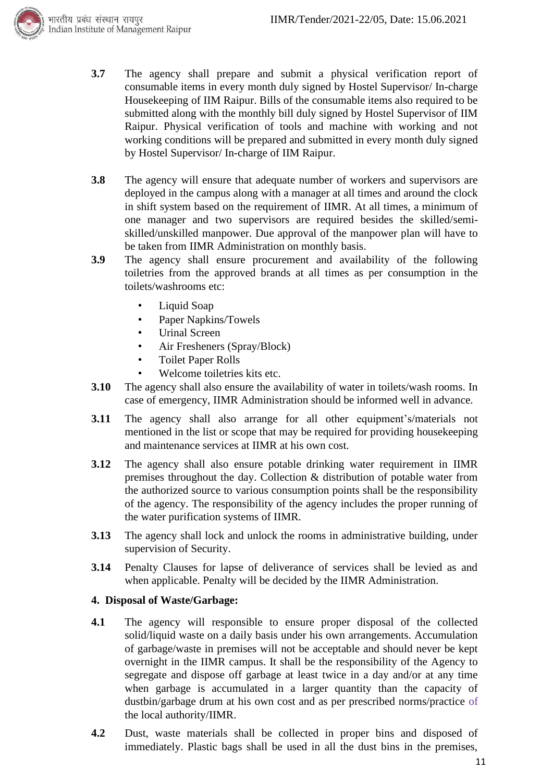

- **3.7** The agency shall prepare and submit a physical verification report of consumable items in every month duly signed by Hostel Supervisor/ In-charge Housekeeping of IIM Raipur. Bills of the consumable items also required to be submitted along with the monthly bill duly signed by Hostel Supervisor of IIM Raipur. Physical verification of tools and machine with working and not working conditions will be prepared and submitted in every month duly signed by Hostel Supervisor/ In-charge of IIM Raipur.
- **3.8** The agency will ensure that adequate number of workers and supervisors are deployed in the campus along with a manager at all times and around the clock in shift system based on the requirement of IIMR. At all times, a minimum of one manager and two supervisors are required besides the skilled/semiskilled/unskilled manpower. Due approval of the manpower plan will have to be taken from IIMR Administration on monthly basis.
- **3.9** The agency shall ensure procurement and availability of the following toiletries from the approved brands at all times as per consumption in the toilets/washrooms etc:
	- Liquid Soap
	- Paper Napkins/Towels
	- Urinal Screen
	- Air Fresheners (Spray/Block)
	- Toilet Paper Rolls
	- Welcome toiletries kits etc.
- **3.10** The agency shall also ensure the availability of water in toilets/wash rooms. In case of emergency, IIMR Administration should be informed well in advance.
- **3.11** The agency shall also arrange for all other equipment's/materials not mentioned in the list or scope that may be required for providing housekeeping and maintenance services at IIMR at his own cost.
- **3.12** The agency shall also ensure potable drinking water requirement in IIMR premises throughout the day. Collection & distribution of potable water from the authorized source to various consumption points shall be the responsibility of the agency. The responsibility of the agency includes the proper running of the water purification systems of IIMR.
- **3.13** The agency shall lock and unlock the rooms in administrative building, under supervision of Security.
- **3.14** Penalty Clauses for lapse of deliverance of services shall be levied as and when applicable. Penalty will be decided by the IIMR Administration.

#### **4. Disposal of Waste/Garbage:**

- **4.1** The agency will responsible to ensure proper disposal of the collected solid/liquid waste on a daily basis under his own arrangements. Accumulation of garbage/waste in premises will not be acceptable and should never be kept overnight in the IIMR campus. It shall be the responsibility of the Agency to segregate and dispose off garbage at least twice in a day and/or at any time when garbage is accumulated in a larger quantity than the capacity of dustbin/garbage drum at his own cost and as per prescribed norms/practice of the local authority/IIMR.
- **4.2** Dust, waste materials shall be collected in proper bins and disposed of immediately. Plastic bags shall be used in all the dust bins in the premises,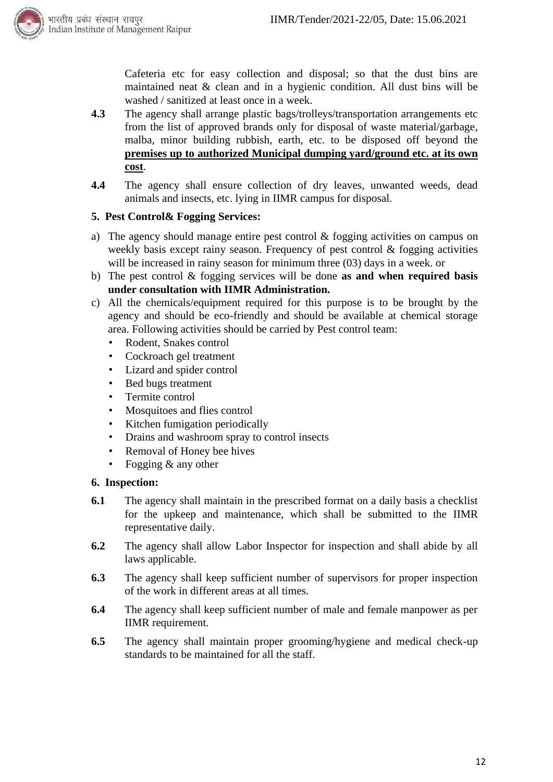

Cafeteria etc for easy collection and disposal; so that the dust bins are maintained neat & clean and in a hygienic condition. All dust bins will be washed / sanitized at least once in a week.

- **4.3** The agency shall arrange plastic bags/trolleys/transportation arrangements etc from the list of approved brands only for disposal of waste material/garbage, malba, minor building rubbish, earth, etc. to be disposed off beyond the **premises up to authorized Municipal dumping yard/ground etc. at its own cost**.
- **4.4** The agency shall ensure collection of dry leaves, unwanted weeds, dead animals and insects, etc. lying in IIMR campus for disposal.

#### **5. Pest Control& Fogging Services:**

- a) The agency should manage entire pest control & fogging activities on campus on weekly basis except rainy season. Frequency of pest control & fogging activities will be increased in rainy season for minimum three (03) days in a week. or
- b) The pest control & fogging services will be done **as and when required basis under consultation with IIMR Administration.**
- c) All the chemicals/equipment required for this purpose is to be brought by the agency and should be eco-friendly and should be available at chemical storage area. Following activities should be carried by Pest control team:
	- Rodent, Snakes control
	- Cockroach gel treatment
	- Lizard and spider control
	- Bed bugs treatment
	- Termite control
	- Mosquitoes and flies control
	- Kitchen fumigation periodically
	- Drains and washroom spray to control insects
	- Removal of Honey bee hives
	- Fogging  $&$  any other

#### **6. Inspection:**

- **6.1** The agency shall maintain in the prescribed format on a daily basis a checklist for the upkeep and maintenance, which shall be submitted to the IIMR representative daily.
- **6.2** The agency shall allow Labor Inspector for inspection and shall abide by all laws applicable.
- **6.3** The agency shall keep sufficient number of supervisors for proper inspection of the work in different areas at all times.
- **6.4** The agency shall keep sufficient number of male and female manpower as per IIMR requirement.
- **6.5** The agency shall maintain proper grooming/hygiene and medical check-up standards to be maintained for all the staff.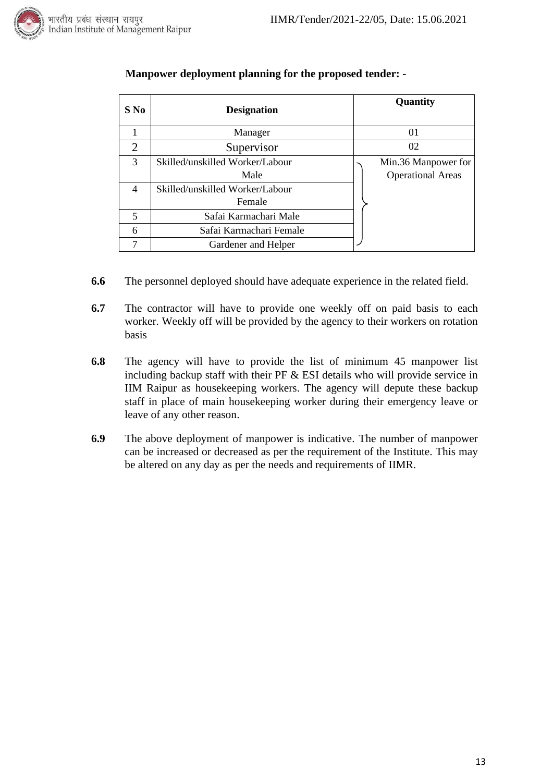

|  | तीय प्रबंध संस्थान रायपूर |                                     |  |
|--|---------------------------|-------------------------------------|--|
|  |                           | lian Institute of Management Raipur |  |

| S No           | <b>Designation</b>              |    | Quantity                 |
|----------------|---------------------------------|----|--------------------------|
|                | Manager                         |    | 01                       |
| $\overline{2}$ | Supervisor                      | 02 |                          |
| 3              | Skilled/unskilled Worker/Labour |    | Min.36 Manpower for      |
|                | Male                            |    | <b>Operational Areas</b> |
| 4              | Skilled/unskilled Worker/Labour |    |                          |
|                | Female                          |    |                          |
| 5              | Safai Karmachari Male           |    |                          |
| 6              | Safai Karmachari Female         |    |                          |
|                | Gardener and Helper             |    |                          |

#### **Manpower deployment planning for the proposed tender: -**

- **6.6** The personnel deployed should have adequate experience in the related field.
- **6.7** The contractor will have to provide one weekly off on paid basis to each worker. Weekly off will be provided by the agency to their workers on rotation basis
- **6.8** The agency will have to provide the list of minimum 45 manpower list including backup staff with their PF & ESI details who will provide service in IIM Raipur as housekeeping workers. The agency will depute these backup staff in place of main housekeeping worker during their emergency leave or leave of any other reason.
- **6.9** The above deployment of manpower is indicative. The number of manpower can be increased or decreased as per the requirement of the Institute. This may be altered on any day as per the needs and requirements of IIMR.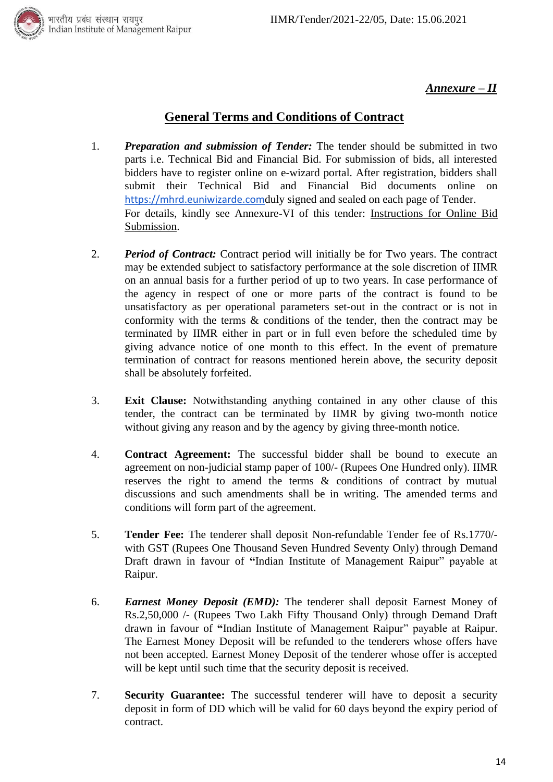भारतीय प्रबंध संस्थान रायपुर<br>Indian Institute of Management Raipur<br>



#### *Annexure – II*

### **General Terms and Conditions of Contract**

- 1. *Preparation and submission of Tender:* The tender should be submitted in two parts i.e. Technical Bid and Financial Bid. For submission of bids, all interested bidders have to register online on e-wizard portal. After registration, bidders shall submit their Technical Bid and Financial Bid documents online on [https://mhrd.euniwizarde.com](https://mhrd.euniwizarde.com/)duly signed and sealed on each page of Tender. For details, kindly see Annexure-VI of this tender: Instructions for Online Bid Submission.
- 2. *Period of Contract:* Contract period will initially be for Two years. The contract may be extended subject to satisfactory performance at the sole discretion of IIMR on an annual basis for a further period of up to two years. In case performance of the agency in respect of one or more parts of the contract is found to be unsatisfactory as per operational parameters set-out in the contract or is not in conformity with the terms & conditions of the tender, then the contract may be terminated by IIMR either in part or in full even before the scheduled time by giving advance notice of one month to this effect. In the event of premature termination of contract for reasons mentioned herein above, the security deposit shall be absolutely forfeited.
- 3. **Exit Clause:** Notwithstanding anything contained in any other clause of this tender, the contract can be terminated by IIMR by giving two-month notice without giving any reason and by the agency by giving three-month notice.
- 4. **Contract Agreement:** The successful bidder shall be bound to execute an agreement on non-judicial stamp paper of 100/- (Rupees One Hundred only). IIMR reserves the right to amend the terms & conditions of contract by mutual discussions and such amendments shall be in writing. The amended terms and conditions will form part of the agreement.
- 5. **Tender Fee:** The tenderer shall deposit Non-refundable Tender fee of Rs.1770/ with GST (Rupees One Thousand Seven Hundred Seventy Only) through Demand Draft drawn in favour of **"**Indian Institute of Management Raipur" payable at Raipur.
- 6. *Earnest Money Deposit (EMD):* The tenderer shall deposit Earnest Money of Rs.2,50,000 /- (Rupees Two Lakh Fifty Thousand Only) through Demand Draft drawn in favour of **"**Indian Institute of Management Raipur" payable at Raipur. The Earnest Money Deposit will be refunded to the tenderers whose offers have not been accepted. Earnest Money Deposit of the tenderer whose offer is accepted will be kept until such time that the security deposit is received.
- 7. **Security Guarantee:** The successful tenderer will have to deposit a security deposit in form of DD which will be valid for 60 days beyond the expiry period of contract.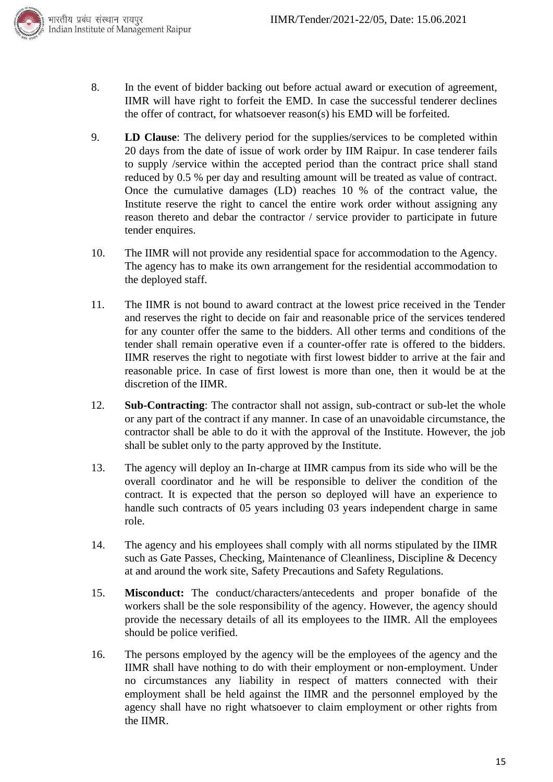

- 8. In the event of bidder backing out before actual award or execution of agreement, IIMR will have right to forfeit the EMD. In case the successful tenderer declines the offer of contract, for whatsoever reason(s) his EMD will be forfeited.
- 9. **LD Clause**: The delivery period for the supplies/services to be completed within 20 days from the date of issue of work order by IIM Raipur. In case tenderer fails to supply /service within the accepted period than the contract price shall stand reduced by 0.5 % per day and resulting amount will be treated as value of contract. Once the cumulative damages (LD) reaches 10 % of the contract value, the Institute reserve the right to cancel the entire work order without assigning any reason thereto and debar the contractor / service provider to participate in future tender enquires.
- 10. The IIMR will not provide any residential space for accommodation to the Agency. The agency has to make its own arrangement for the residential accommodation to the deployed staff.
- 11. The IIMR is not bound to award contract at the lowest price received in the Tender and reserves the right to decide on fair and reasonable price of the services tendered for any counter offer the same to the bidders. All other terms and conditions of the tender shall remain operative even if a counter-offer rate is offered to the bidders. IIMR reserves the right to negotiate with first lowest bidder to arrive at the fair and reasonable price. In case of first lowest is more than one, then it would be at the discretion of the IIMR.
- 12. **Sub-Contracting**: The contractor shall not assign, sub-contract or sub-let the whole or any part of the contract if any manner. In case of an unavoidable circumstance, the contractor shall be able to do it with the approval of the Institute. However, the job shall be sublet only to the party approved by the Institute.
- 13. The agency will deploy an In-charge at IIMR campus from its side who will be the overall coordinator and he will be responsible to deliver the condition of the contract. It is expected that the person so deployed will have an experience to handle such contracts of 05 years including 03 years independent charge in same role.
- 14. The agency and his employees shall comply with all norms stipulated by the IIMR such as Gate Passes, Checking, Maintenance of Cleanliness, Discipline & Decency at and around the work site, Safety Precautions and Safety Regulations.
- 15. **Misconduct:** The conduct/characters/antecedents and proper bonafide of the workers shall be the sole responsibility of the agency. However, the agency should provide the necessary details of all its employees to the IIMR. All the employees should be police verified.
- 16. The persons employed by the agency will be the employees of the agency and the IIMR shall have nothing to do with their employment or non-employment. Under no circumstances any liability in respect of matters connected with their employment shall be held against the IIMR and the personnel employed by the agency shall have no right whatsoever to claim employment or other rights from the IIMR.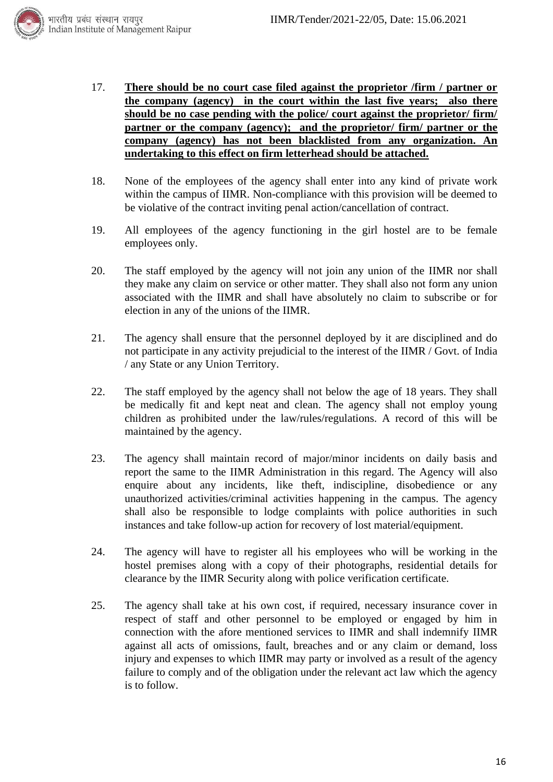

- 17. **There should be no court case filed against the proprietor /firm / partner or the company (agency) in the court within the last five years; also there should be no case pending with the police/ court against the proprietor/ firm/ partner or the company (agency); and the proprietor/ firm/ partner or the company (agency) has not been blacklisted from any organization. An undertaking to this effect on firm letterhead should be attached.**
- 18. None of the employees of the agency shall enter into any kind of private work within the campus of IIMR. Non-compliance with this provision will be deemed to be violative of the contract inviting penal action/cancellation of contract.
- 19. All employees of the agency functioning in the girl hostel are to be female employees only.
- 20. The staff employed by the agency will not join any union of the IIMR nor shall they make any claim on service or other matter. They shall also not form any union associated with the IIMR and shall have absolutely no claim to subscribe or for election in any of the unions of the IIMR.
- 21. The agency shall ensure that the personnel deployed by it are disciplined and do not participate in any activity prejudicial to the interest of the IIMR / Govt. of India / any State or any Union Territory.
- 22. The staff employed by the agency shall not below the age of 18 years. They shall be medically fit and kept neat and clean. The agency shall not employ young children as prohibited under the law/rules/regulations. A record of this will be maintained by the agency.
- 23. The agency shall maintain record of major/minor incidents on daily basis and report the same to the IIMR Administration in this regard. The Agency will also enquire about any incidents, like theft, indiscipline, disobedience or any unauthorized activities/criminal activities happening in the campus. The agency shall also be responsible to lodge complaints with police authorities in such instances and take follow-up action for recovery of lost material/equipment.
- 24. The agency will have to register all his employees who will be working in the hostel premises along with a copy of their photographs, residential details for clearance by the IIMR Security along with police verification certificate.
- 25. The agency shall take at his own cost, if required, necessary insurance cover in respect of staff and other personnel to be employed or engaged by him in connection with the afore mentioned services to IIMR and shall indemnify IIMR against all acts of omissions, fault, breaches and or any claim or demand, loss injury and expenses to which IIMR may party or involved as a result of the agency failure to comply and of the obligation under the relevant act law which the agency is to follow.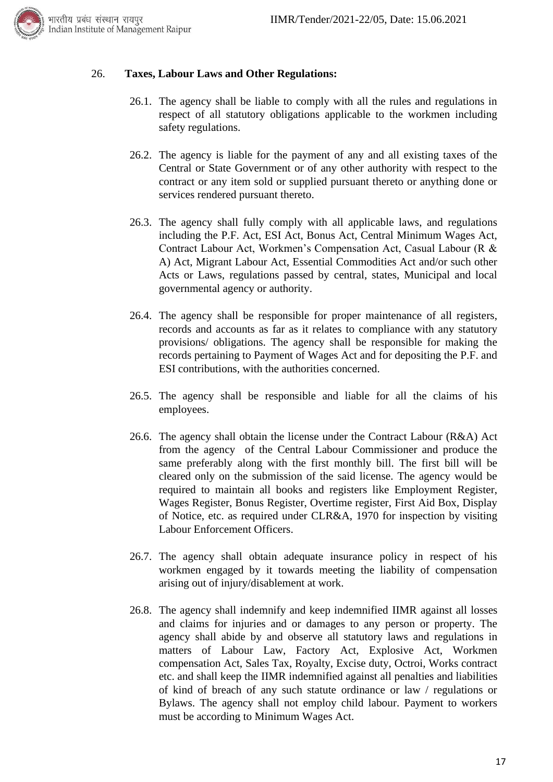

#### 26. **Taxes, Labour Laws and Other Regulations:**

- 26.1. The agency shall be liable to comply with all the rules and regulations in respect of all statutory obligations applicable to the workmen including safety regulations.
- 26.2. The agency is liable for the payment of any and all existing taxes of the Central or State Government or of any other authority with respect to the contract or any item sold or supplied pursuant thereto or anything done or services rendered pursuant thereto.
- 26.3. The agency shall fully comply with all applicable laws, and regulations including the P.F. Act, ESI Act, Bonus Act, Central Minimum Wages Act, Contract Labour Act, Workmen's Compensation Act, Casual Labour (R & A) Act, Migrant Labour Act, Essential Commodities Act and/or such other Acts or Laws, regulations passed by central, states, Municipal and local governmental agency or authority.
- 26.4. The agency shall be responsible for proper maintenance of all registers, records and accounts as far as it relates to compliance with any statutory provisions/ obligations. The agency shall be responsible for making the records pertaining to Payment of Wages Act and for depositing the P.F. and ESI contributions, with the authorities concerned.
- 26.5. The agency shall be responsible and liable for all the claims of his employees.
- 26.6. The agency shall obtain the license under the Contract Labour (R&A) Act from the agency of the Central Labour Commissioner and produce the same preferably along with the first monthly bill. The first bill will be cleared only on the submission of the said license. The agency would be required to maintain all books and registers like Employment Register, Wages Register, Bonus Register, Overtime register, First Aid Box, Display of Notice, etc. as required under CLR&A, 1970 for inspection by visiting Labour Enforcement Officers.
- 26.7. The agency shall obtain adequate insurance policy in respect of his workmen engaged by it towards meeting the liability of compensation arising out of injury/disablement at work.
- 26.8. The agency shall indemnify and keep indemnified IIMR against all losses and claims for injuries and or damages to any person or property. The agency shall abide by and observe all statutory laws and regulations in matters of Labour Law, Factory Act, Explosive Act, Workmen compensation Act, Sales Tax, Royalty, Excise duty, Octroi, Works contract etc. and shall keep the IIMR indemnified against all penalties and liabilities of kind of breach of any such statute ordinance or law / regulations or Bylaws. The agency shall not employ child labour. Payment to workers must be according to Minimum Wages Act.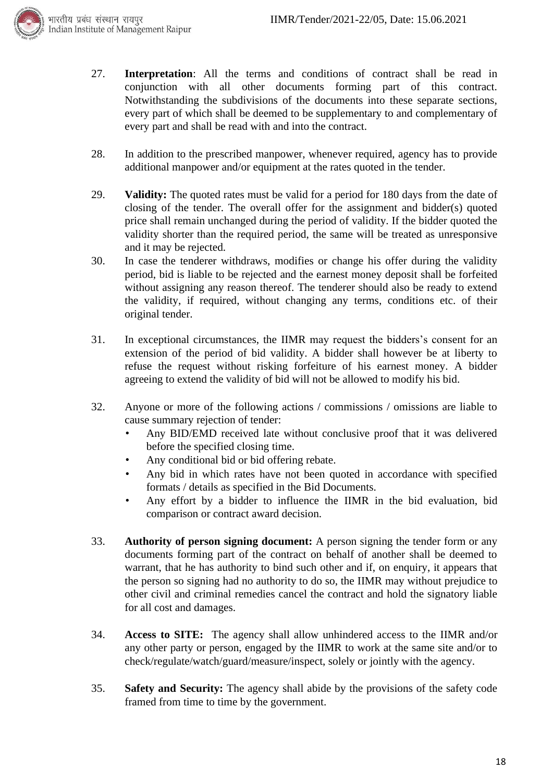

- 27. **Interpretation**: All the terms and conditions of contract shall be read in conjunction with all other documents forming part of this contract. Notwithstanding the subdivisions of the documents into these separate sections, every part of which shall be deemed to be supplementary to and complementary of every part and shall be read with and into the contract.
- 28. In addition to the prescribed manpower, whenever required, agency has to provide additional manpower and/or equipment at the rates quoted in the tender.
- 29. **Validity:** The quoted rates must be valid for a period for 180 days from the date of closing of the tender. The overall offer for the assignment and bidder(s) quoted price shall remain unchanged during the period of validity. If the bidder quoted the validity shorter than the required period, the same will be treated as unresponsive and it may be rejected.
- 30. In case the tenderer withdraws, modifies or change his offer during the validity period, bid is liable to be rejected and the earnest money deposit shall be forfeited without assigning any reason thereof. The tenderer should also be ready to extend the validity, if required, without changing any terms, conditions etc. of their original tender.
- 31. In exceptional circumstances, the IIMR may request the bidders's consent for an extension of the period of bid validity. A bidder shall however be at liberty to refuse the request without risking forfeiture of his earnest money. A bidder agreeing to extend the validity of bid will not be allowed to modify his bid.
- 32. Anyone or more of the following actions / commissions / omissions are liable to cause summary rejection of tender:
	- Any BID/EMD received late without conclusive proof that it was delivered before the specified closing time.
	- Any conditional bid or bid offering rebate.
	- Any bid in which rates have not been quoted in accordance with specified formats / details as specified in the Bid Documents.
	- Any effort by a bidder to influence the IIMR in the bid evaluation, bid comparison or contract award decision.
- 33. **Authority of person signing document:** A person signing the tender form or any documents forming part of the contract on behalf of another shall be deemed to warrant, that he has authority to bind such other and if, on enquiry, it appears that the person so signing had no authority to do so, the IIMR may without prejudice to other civil and criminal remedies cancel the contract and hold the signatory liable for all cost and damages.
- 34. **Access to SITE:** The agency shall allow unhindered access to the IIMR and/or any other party or person, engaged by the IIMR to work at the same site and/or to check/regulate/watch/guard/measure/inspect, solely or jointly with the agency.
- 35. **Safety and Security:** The agency shall abide by the provisions of the safety code framed from time to time by the government.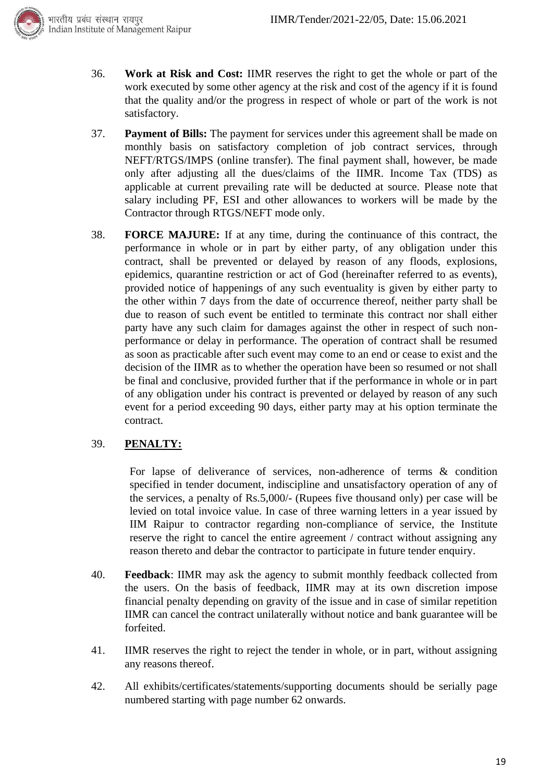

- 36. **Work at Risk and Cost:** IIMR reserves the right to get the whole or part of the work executed by some other agency at the risk and cost of the agency if it is found that the quality and/or the progress in respect of whole or part of the work is not satisfactory.
- 37. **Payment of Bills:** The payment for services under this agreement shall be made on monthly basis on satisfactory completion of job contract services, through NEFT/RTGS/IMPS (online transfer). The final payment shall, however, be made only after adjusting all the dues/claims of the IIMR. Income Tax (TDS) as applicable at current prevailing rate will be deducted at source. Please note that salary including PF, ESI and other allowances to workers will be made by the Contractor through RTGS/NEFT mode only.
- 38. **FORCE MAJURE:** If at any time, during the continuance of this contract, the performance in whole or in part by either party, of any obligation under this contract, shall be prevented or delayed by reason of any floods, explosions, epidemics, quarantine restriction or act of God (hereinafter referred to as events), provided notice of happenings of any such eventuality is given by either party to the other within 7 days from the date of occurrence thereof, neither party shall be due to reason of such event be entitled to terminate this contract nor shall either party have any such claim for damages against the other in respect of such nonperformance or delay in performance. The operation of contract shall be resumed as soon as practicable after such event may come to an end or cease to exist and the decision of the IIMR as to whether the operation have been so resumed or not shall be final and conclusive, provided further that if the performance in whole or in part of any obligation under his contract is prevented or delayed by reason of any such event for a period exceeding 90 days, either party may at his option terminate the contract.

#### 39. **PENALTY:**

For lapse of deliverance of services, non-adherence of terms & condition specified in tender document, indiscipline and unsatisfactory operation of any of the services, a penalty of Rs.5,000/- (Rupees five thousand only) per case will be levied on total invoice value. In case of three warning letters in a year issued by IIM Raipur to contractor regarding non-compliance of service, the Institute reserve the right to cancel the entire agreement / contract without assigning any reason thereto and debar the contractor to participate in future tender enquiry.

- 40. **Feedback**: IIMR may ask the agency to submit monthly feedback collected from the users. On the basis of feedback, IIMR may at its own discretion impose financial penalty depending on gravity of the issue and in case of similar repetition IIMR can cancel the contract unilaterally without notice and bank guarantee will be forfeited.
- 41. IIMR reserves the right to reject the tender in whole, or in part, without assigning any reasons thereof.
- 42. All exhibits/certificates/statements/supporting documents should be serially page numbered starting with page number 62 onwards.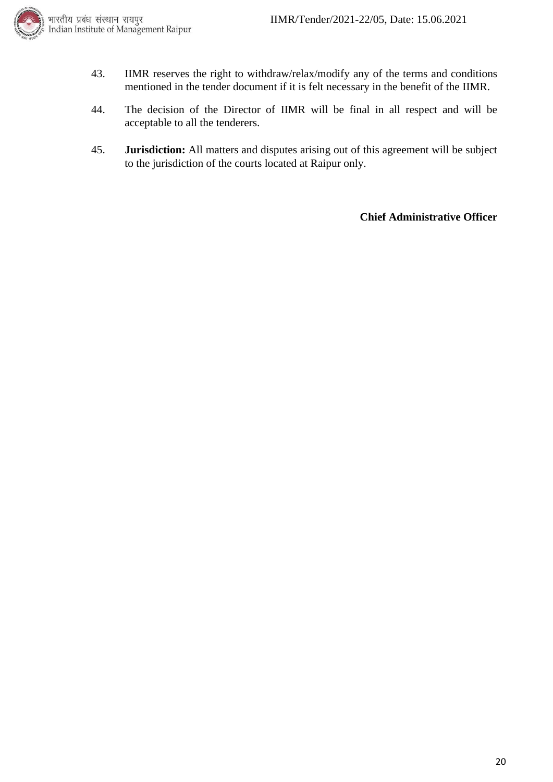

- 43. IIMR reserves the right to withdraw/relax/modify any of the terms and conditions mentioned in the tender document if it is felt necessary in the benefit of the IIMR.
- 44. The decision of the Director of IIMR will be final in all respect and will be acceptable to all the tenderers.
- 45. **Jurisdiction:** All matters and disputes arising out of this agreement will be subject to the jurisdiction of the courts located at Raipur only.

**Chief Administrative Officer**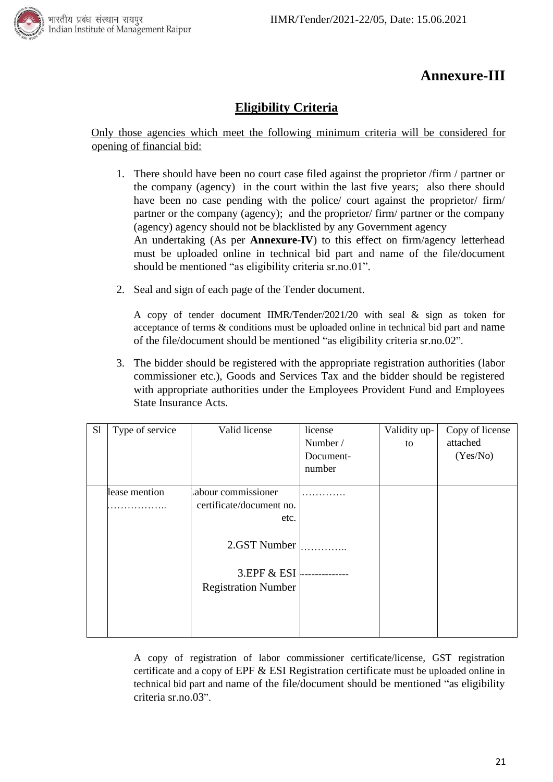

# **Annexure-III**

### **Eligibility Criteria**

#### Only those agencies which meet the following minimum criteria will be considered for opening of financial bid:

- 1. There should have been no court case filed against the proprietor /firm / partner or the company (agency) in the court within the last five years; also there should have been no case pending with the police/ court against the proprietor/ firm/ partner or the company (agency); and the proprietor/ firm/ partner or the company (agency) agency should not be blacklisted by any Government agency An undertaking (As per **Annexure-IV**) to this effect on firm/agency letterhead must be uploaded online in technical bid part and name of the file/document should be mentioned "as eligibility criteria sr.no.01".
- 2. Seal and sign of each page of the Tender document.

A copy of tender document IIMR/Tender/2021/20 with seal & sign as token for acceptance of terms & conditions must be uploaded online in technical bid part and name of the file/document should be mentioned "as eligibility criteria sr.no.02".

3. The bidder should be registered with the appropriate registration authorities (labor commissioner etc.), Goods and Services Tax and the bidder should be registered with appropriate authorities under the Employees Provident Fund and Employees State Insurance Acts.

| S1 | Type of service | Valid license              | license<br>Number /<br>Document-<br>number | Validity up-<br>to | Copy of license<br>attached<br>(Yes/No) |
|----|-----------------|----------------------------|--------------------------------------------|--------------------|-----------------------------------------|
|    | lease mention   | abour commissioner         |                                            |                    |                                         |
|    |                 | certificate/document no.   |                                            |                    |                                         |
|    |                 | etc.                       |                                            |                    |                                         |
|    |                 | 2.GST Number               |                                            |                    |                                         |
|    |                 | 3.EPF & ESI                |                                            |                    |                                         |
|    |                 | <b>Registration Number</b> |                                            |                    |                                         |
|    |                 |                            |                                            |                    |                                         |

A copy of registration of labor commissioner certificate/license, GST registration certificate and a copy of EPF & ESI Registration certificate must be uploaded online in technical bid part and name of the file/document should be mentioned "as eligibility criteria sr.no.03".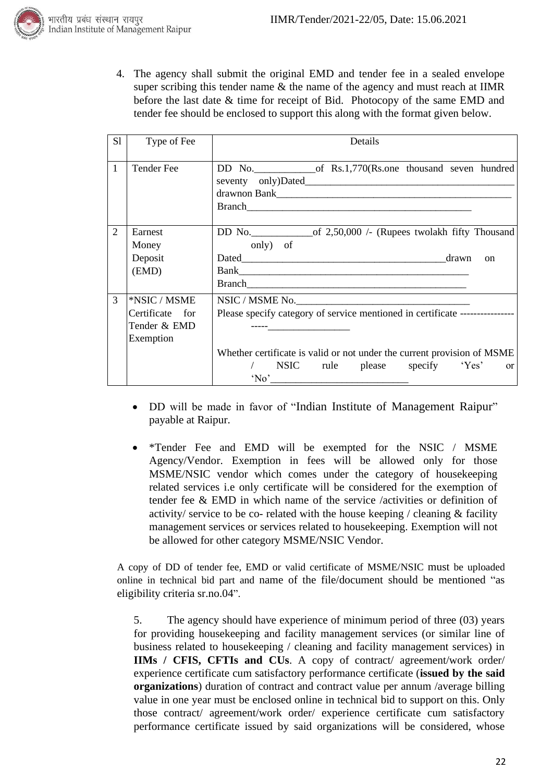

4. The agency shall submit the original EMD and tender fee in a sealed envelope super scribing this tender name  $\&$  the name of the agency and must reach at IIMR before the last date & time for receipt of Bid. Photocopy of the same EMD and tender fee should be enclosed to support this along with the format given below.

| S1           | Type of Fee                                                  | Details                                                                                                                                                                                                                    |
|--------------|--------------------------------------------------------------|----------------------------------------------------------------------------------------------------------------------------------------------------------------------------------------------------------------------------|
| $\mathbf{1}$ | <b>Tender Fee</b>                                            | DD No. of Rs.1,770(Rs.one thousand seven hundred                                                                                                                                                                           |
| 2            | Earnest<br>Money<br>Deposit<br>(EMD)                         | DD No. $\qquad$ of 2,50,000 /- (Rupees two lakh fifty Thousand<br>only) of<br>$_{\rm on}$                                                                                                                                  |
| 3            | *NSIC / MSME<br>Certificate for<br>Tender & EMD<br>Exemption | NSIC / MSME No.<br>Please specify category of service mentioned in certificate ----------------<br>Whether certificate is valid or not under the current provision of MSME<br>/ NSIC rule please specify 'Yes'<br>$\alpha$ |

- DD will be made in favor of "Indian Institute of Management Raipur" payable at Raipur.
- \*Tender Fee and EMD will be exempted for the NSIC / MSME Agency/Vendor. Exemption in fees will be allowed only for those MSME/NSIC vendor which comes under the category of housekeeping related services i.e only certificate will be considered for the exemption of tender fee & EMD in which name of the service /activities or definition of activity/ service to be co- related with the house keeping / cleaning & facility management services or services related to housekeeping. Exemption will not be allowed for other category MSME/NSIC Vendor.

A copy of DD of tender fee, EMD or valid certificate of MSME/NSIC must be uploaded online in technical bid part and name of the file/document should be mentioned "as eligibility criteria sr.no.04".

5. The agency should have experience of minimum period of three (03) years for providing housekeeping and facility management services (or similar line of business related to housekeeping / cleaning and facility management services) in **IIMs / CFIS, CFTIs and CUs**. A copy of contract/ agreement/work order/ experience certificate cum satisfactory performance certificate (**issued by the said organizations**) duration of contract and contract value per annum /average billing value in one year must be enclosed online in technical bid to support on this. Only those contract/ agreement/work order/ experience certificate cum satisfactory performance certificate issued by said organizations will be considered, whose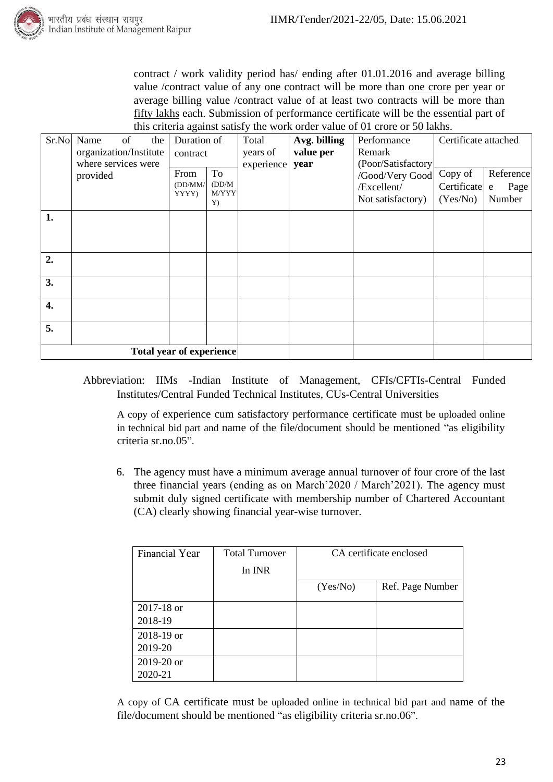

contract / work validity period has/ ending after 01.01.2016 and average billing value /contract value of any one contract will be more than one crore per year or average billing value /contract value of at least two contracts will be more than fifty lakhs each. Submission of performance certificate will be the essential part of this criteria against satisfy the work order value of 01 crore or 50 lakhs.

| Sr.No                           | Name<br>of<br>the<br>organization/Institute | Duration of                         | Total<br>years of | Avg. billing<br>value per | Performance<br>Remark | Certificate attached |           |
|---------------------------------|---------------------------------------------|-------------------------------------|-------------------|---------------------------|-----------------------|----------------------|-----------|
|                                 | where services were                         | contract                            | experience        | year                      | (Poor/Satisfactory    |                      |           |
|                                 | provided                                    | To<br>From                          |                   |                           | /Good/Very Good       | Copy of              | Reference |
|                                 |                                             | (DD/MM/<br>(DD/M)<br>M/YYY<br>YYYY) |                   |                           | /Excellent/           | Certificate          | Page<br>e |
|                                 |                                             | Y)                                  |                   |                           | Not satisfactory)     | (Yes/No)             | Number    |
| 1.                              |                                             |                                     |                   |                           |                       |                      |           |
|                                 |                                             |                                     |                   |                           |                       |                      |           |
|                                 |                                             |                                     |                   |                           |                       |                      |           |
| 2.                              |                                             |                                     |                   |                           |                       |                      |           |
| 3.                              |                                             |                                     |                   |                           |                       |                      |           |
| $\overline{4}$ .                |                                             |                                     |                   |                           |                       |                      |           |
| 5.                              |                                             |                                     |                   |                           |                       |                      |           |
| <b>Total year of experience</b> |                                             |                                     |                   |                           |                       |                      |           |

Abbreviation: IIMs -Indian Institute of Management, CFIs/CFTIs-Central Funded Institutes/Central Funded Technical Institutes, CUs-Central Universities

A copy of experience cum satisfactory performance certificate must be uploaded online in technical bid part and name of the file/document should be mentioned "as eligibility criteria sr.no.05".

6. The agency must have a minimum average annual turnover of four crore of the last three financial years (ending as on March'2020 / March'2021). The agency must submit duly signed certificate with membership number of Chartered Accountant (CA) clearly showing financial year-wise turnover.

| <b>Financial Year</b> | <b>Total Turnover</b> | CA certificate enclosed |                  |  |
|-----------------------|-----------------------|-------------------------|------------------|--|
|                       | In INR                |                         |                  |  |
|                       |                       | (Yes/No)                | Ref. Page Number |  |
| 2017-18 or            |                       |                         |                  |  |
| 2018-19               |                       |                         |                  |  |
| 2018-19 or            |                       |                         |                  |  |
| 2019-20               |                       |                         |                  |  |
| 2019-20 or            |                       |                         |                  |  |
| 2020-21               |                       |                         |                  |  |

A copy of CA certificate must be uploaded online in technical bid part and name of the file/document should be mentioned "as eligibility criteria sr.no.06".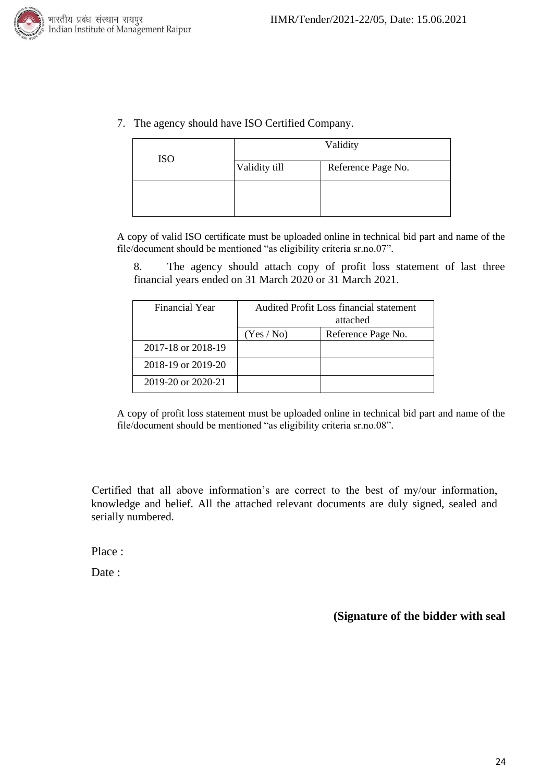



| <b>ISO</b> | Validity      |                    |  |  |
|------------|---------------|--------------------|--|--|
|            | Validity till | Reference Page No. |  |  |
|            |               |                    |  |  |
|            |               |                    |  |  |

A copy of valid ISO certificate must be uploaded online in technical bid part and name of the file/document should be mentioned "as eligibility criteria sr.no.07".

8. The agency should attach copy of profit loss statement of last three financial years ended on 31 March 2020 or 31 March 2021.

| Financial Year     | Audited Profit Loss financial statement<br>attached |  |  |
|--------------------|-----------------------------------------------------|--|--|
|                    | Reference Page No.<br>(Yes / No)                    |  |  |
| 2017-18 or 2018-19 |                                                     |  |  |
| 2018-19 or 2019-20 |                                                     |  |  |
| 2019-20 or 2020-21 |                                                     |  |  |

A copy of profit loss statement must be uploaded online in technical bid part and name of the file/document should be mentioned "as eligibility criteria sr.no.08".

Certified that all above information's are correct to the best of my/our information, knowledge and belief. All the attached relevant documents are duly signed, sealed and serially numbered.

Place :

Date:

**(Signature of the bidder with seal**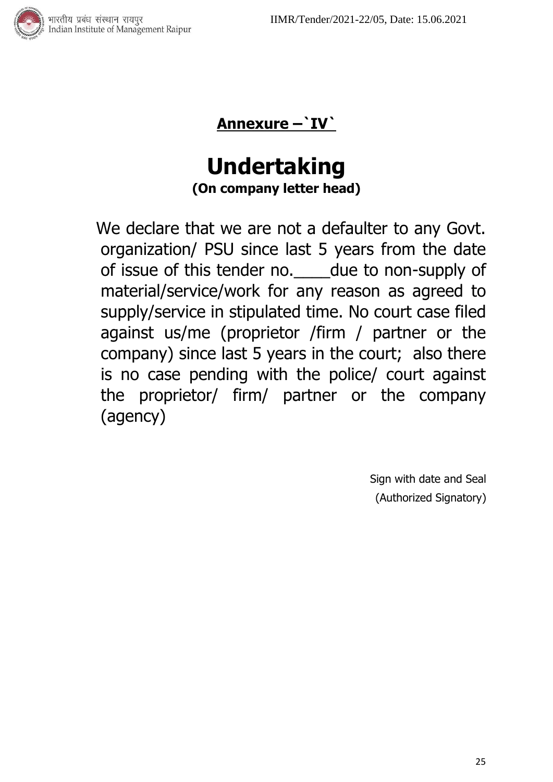



# **Undertaking (On company letter head)**

We declare that we are not a defaulter to any Govt. organization/ PSU since last 5 years from the date of issue of this tender no.\_\_\_\_due to non-supply of material/service/work for any reason as agreed to supply/service in stipulated time. No court case filed against us/me (proprietor /firm / partner or the company) since last 5 years in the court; also there is no case pending with the police/ court against the proprietor/ firm/ partner or the company (agency)

> Sign with date and Seal (Authorized Signatory)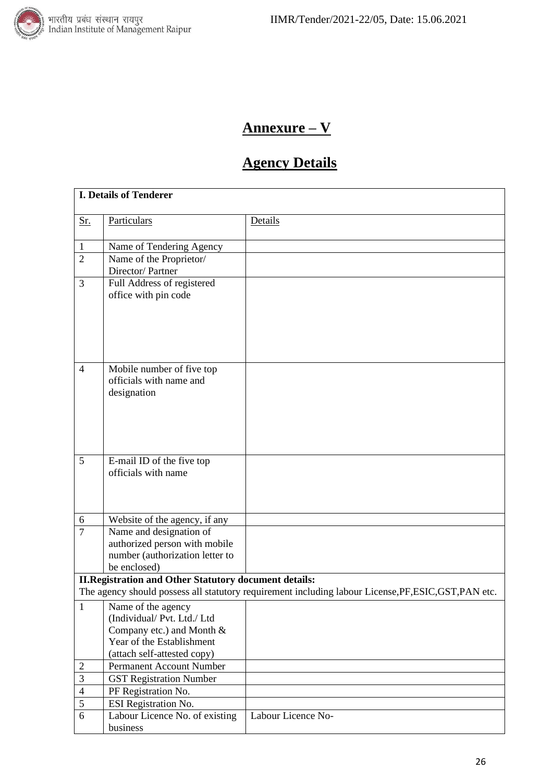

# **Annexure – V**

# **Agency Details**

|                                  | <b>I. Details of Tenderer</b>                                |                                                                                                       |
|----------------------------------|--------------------------------------------------------------|-------------------------------------------------------------------------------------------------------|
| <u>Sr.</u>                       | Particulars                                                  | Details                                                                                               |
|                                  |                                                              |                                                                                                       |
| $\mathbf{1}$                     | Name of Tendering Agency                                     |                                                                                                       |
| $\overline{2}$                   | Name of the Proprietor/                                      |                                                                                                       |
|                                  | Director/Partner                                             |                                                                                                       |
| 3                                | Full Address of registered                                   |                                                                                                       |
|                                  | office with pin code                                         |                                                                                                       |
|                                  |                                                              |                                                                                                       |
|                                  |                                                              |                                                                                                       |
|                                  |                                                              |                                                                                                       |
|                                  |                                                              |                                                                                                       |
| $\overline{4}$                   | Mobile number of five top                                    |                                                                                                       |
|                                  | officials with name and                                      |                                                                                                       |
|                                  | designation                                                  |                                                                                                       |
|                                  |                                                              |                                                                                                       |
|                                  |                                                              |                                                                                                       |
|                                  |                                                              |                                                                                                       |
|                                  |                                                              |                                                                                                       |
| 5                                | E-mail ID of the five top                                    |                                                                                                       |
|                                  | officials with name                                          |                                                                                                       |
|                                  |                                                              |                                                                                                       |
|                                  |                                                              |                                                                                                       |
| $6\,$                            | Website of the agency, if any                                |                                                                                                       |
| $\overline{7}$                   | Name and designation of                                      |                                                                                                       |
|                                  | authorized person with mobile                                |                                                                                                       |
|                                  | number (authorization letter to                              |                                                                                                       |
|                                  | be enclosed)                                                 |                                                                                                       |
|                                  | <b>II.Registration and Other Statutory document details:</b> |                                                                                                       |
|                                  |                                                              | The agency should possess all statutory requirement including labour License, PF, ESIC, GST, PAN etc. |
| $\mathbf{1}$                     | Name of the agency                                           |                                                                                                       |
|                                  | (Individual/Pvt. Ltd./Ltd                                    |                                                                                                       |
|                                  | Company etc.) and Month &                                    |                                                                                                       |
|                                  | Year of the Establishment                                    |                                                                                                       |
|                                  | (attach self-attested copy)                                  |                                                                                                       |
| $\overline{2}$<br>$\mathfrak{Z}$ | <b>Permanent Account Number</b>                              |                                                                                                       |
| $\overline{4}$                   | <b>GST Registration Number</b><br>PF Registration No.        |                                                                                                       |
| 5                                | ESI Registration No.                                         |                                                                                                       |
| 6                                | Labour Licence No. of existing                               | Labour Licence No-                                                                                    |
|                                  | business                                                     |                                                                                                       |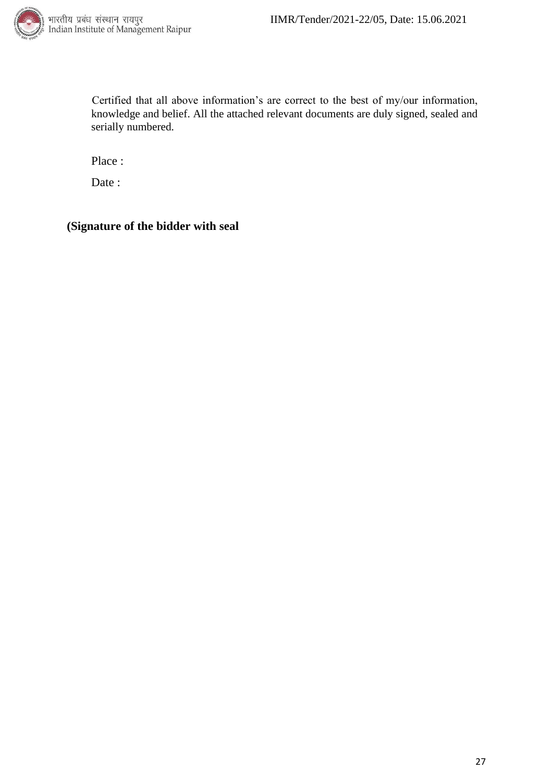

Certified that all above information's are correct to the best of my/our information, knowledge and belief. All the attached relevant documents are duly signed, sealed and serially numbered.

Place :

Date:

#### **(Signature of the bidder with seal**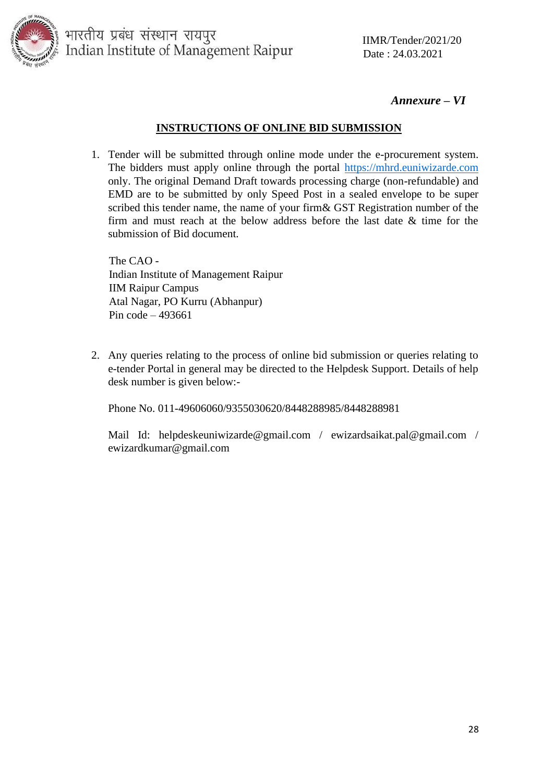

#### *Annexure – VI*

#### **INSTRUCTIONS OF ONLINE BID SUBMISSION**

1. Tender will be submitted through online mode under the e-procurement system. The bidders must apply online through the portal [https://mhrd.euniwizarde.com](https://mhrd.euniwizarde.com/) only. The original Demand Draft towards processing charge (non-refundable) and EMD are to be submitted by only Speed Post in a sealed envelope to be super scribed this tender name, the name of your firm& GST Registration number of the firm and must reach at the below address before the last date & time for the submission of Bid document.

The CAO - Indian Institute of Management Raipur IIM Raipur Campus Atal Nagar, PO Kurru (Abhanpur) Pin code – 493661

2. Any queries relating to the process of online bid submission or queries relating to e-tender Portal in general may be directed to the Helpdesk Support. Details of help desk number is given below:-

Phone No. 011-49606060/9355030620/8448288985/8448288981

Mail Id: helpdeskeuniwizarde@gmail.com / ewizardsaikat.pal@gmail.com / ewizardkumar@gmail.com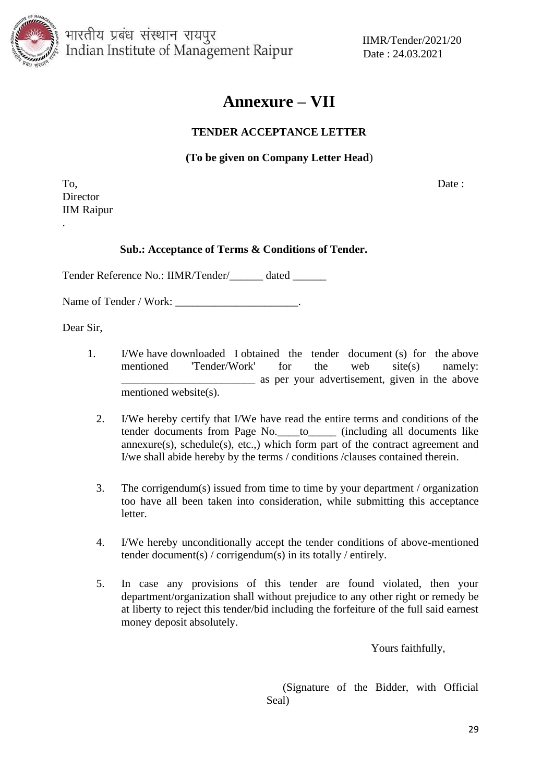

भारतीय प्रबंध संस्थान रायपुर Indian Institute of Management Raipur Date: 24.03.2021

IIMR/Tender/2021/20

### **Annexure – VII**

#### **TENDER ACCEPTANCE LETTER**

#### **(To be given on Company Letter Head**)

To, Date : Director IIM Raipur

.

#### **Sub.: Acceptance of Terms & Conditions of Tender.**

Tender Reference No.: IIMR/Tender/\_\_\_\_\_\_ dated \_\_\_\_\_\_

Name of Tender / Work: \_\_\_\_\_\_\_\_\_\_\_\_\_\_\_\_\_\_\_\_\_\_.

Dear Sir,

- 1. I/We have downloaded I obtained the tender document (s) for the above mentioned 'Tender/Work' for the web site(s) namely: \_\_\_\_\_\_\_\_\_\_\_\_\_\_\_\_\_\_\_\_\_\_\_\_ as per your advertisement, given in the above mentioned website(s).
	- 2. I/We hereby certify that I/We have read the entire terms and conditions of the tender documents from Page No.\_\_\_\_to\_\_\_\_\_ (including all documents like  $annexure(s)$ ,  $schedule(s)$ ,  $etc.,$ ) which form part of the contract agreement and I/we shall abide hereby by the terms / conditions /clauses contained therein.
	- 3. The corrigendum(s) issued from time to time by your department / organization too have all been taken into consideration, while submitting this acceptance letter.
	- 4. I/We hereby unconditionally accept the tender conditions of above-mentioned tender document(s) / corrigendum(s) in its totally / entirely.
	- 5. In case any provisions of this tender are found violated, then your department/organization shall without prejudice to any other right or remedy be at liberty to reject this tender/bid including the forfeiture of the full said earnest money deposit absolutely.

Yours faithfully,

 (Signature of the Bidder, with Official Seal)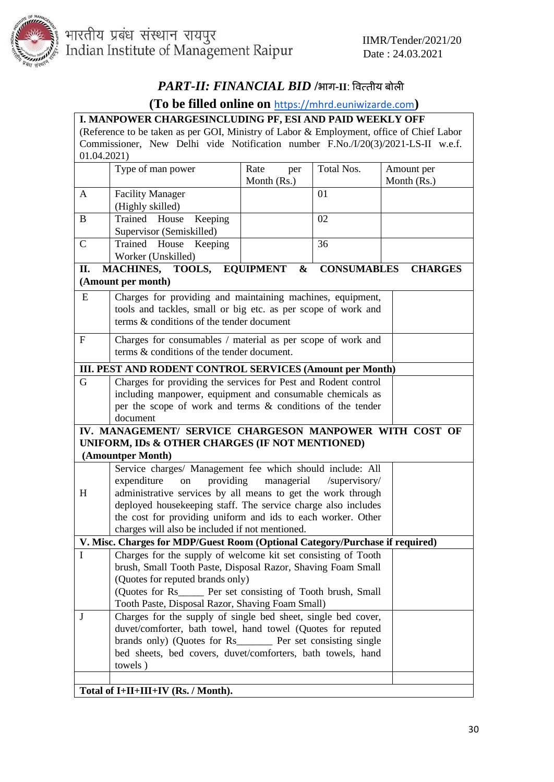

भारतीय प्रबंध संस्थान रायपुर<br>Indian Institute of Management Raipur Date : 24.03.2021

### *PART-II: FINANCIAL BID* **/**भाग-**II**: पित्तीय बोिी

### **(To be filled online on** [https://mhrd.euniwizarde.com](https://mhrd.euniwizarde.com/)**)**

|              | I. MANPOWER CHARGESINCLUDING PF, ESI AND PAID WEEKLY OFF<br>(Reference to be taken as per GOI, Ministry of Labor & Employment, office of Chief Labor                                                                                                                                                                                            |                            |                    |                           |  |
|--------------|-------------------------------------------------------------------------------------------------------------------------------------------------------------------------------------------------------------------------------------------------------------------------------------------------------------------------------------------------|----------------------------|--------------------|---------------------------|--|
|              | Commissioner, New Delhi vide Notification number F.No./I/20(3)/2021-LS-II w.e.f.                                                                                                                                                                                                                                                                |                            |                    |                           |  |
| 01.04.2021)  |                                                                                                                                                                                                                                                                                                                                                 |                            |                    |                           |  |
|              | Type of man power                                                                                                                                                                                                                                                                                                                               | Rate<br>per<br>Month (Rs.) | Total Nos.         | Amount per<br>Month (Rs.) |  |
| A            | <b>Facility Manager</b><br>(Highly skilled)                                                                                                                                                                                                                                                                                                     |                            | 01                 |                           |  |
| B            | Trained House<br>Keeping<br>Supervisor (Semiskilled)                                                                                                                                                                                                                                                                                            |                            | 02                 |                           |  |
| $\mathsf{C}$ | Trained House Keeping<br>Worker (Unskilled)                                                                                                                                                                                                                                                                                                     |                            | 36                 |                           |  |
| II.          | MACHINES, TOOLS, EQUIPMENT                                                                                                                                                                                                                                                                                                                      | $\boldsymbol{\&}$          | <b>CONSUMABLES</b> | <b>CHARGES</b>            |  |
|              | (Amount per month)                                                                                                                                                                                                                                                                                                                              |                            |                    |                           |  |
| E            | Charges for providing and maintaining machines, equipment,<br>tools and tackles, small or big etc. as per scope of work and<br>terms & conditions of the tender document                                                                                                                                                                        |                            |                    |                           |  |
| $\mathbf{F}$ | Charges for consumables / material as per scope of work and<br>terms & conditions of the tender document.                                                                                                                                                                                                                                       |                            |                    |                           |  |
|              | III. PEST AND RODENT CONTROL SERVICES (Amount per Month)                                                                                                                                                                                                                                                                                        |                            |                    |                           |  |
| G            | Charges for providing the services for Pest and Rodent control<br>including manpower, equipment and consumable chemicals as<br>per the scope of work and terms & conditions of the tender<br>document                                                                                                                                           |                            |                    |                           |  |
|              | IV. MANAGEMENT/ SERVICE CHARGESON MANPOWER WITH COST OF                                                                                                                                                                                                                                                                                         |                            |                    |                           |  |
|              | UNIFORM, IDs & OTHER CHARGES (IF NOT MENTIONED)<br>(Amountper Month)                                                                                                                                                                                                                                                                            |                            |                    |                           |  |
| H            | Service charges/ Management fee which should include: All<br>providing<br>expenditure<br>on<br>administrative services by all means to get the work through<br>deployed housekeeping staff. The service charge also includes<br>the cost for providing uniform and ids to each worker. Other<br>charges will also be included if not mentioned. | managerial                 | /supervisory/      |                           |  |
|              | V. Misc. Charges for MDP/Guest Room (Optional Category/Purchase if required)                                                                                                                                                                                                                                                                    |                            |                    |                           |  |
| $\mathbf I$  | Charges for the supply of welcome kit set consisting of Tooth<br>brush, Small Tooth Paste, Disposal Razor, Shaving Foam Small<br>(Quotes for reputed brands only)<br>(Quotes for Rs ______ Per set consisting of Tooth brush, Small<br>Tooth Paste, Disposal Razor, Shaving Foam Small)                                                         |                            |                    |                           |  |
| J            | Charges for the supply of single bed sheet, single bed cover,<br>duvet/comforter, bath towel, hand towel (Quotes for reputed<br>brands only) (Quotes for Rs________ Per set consisting single<br>bed sheets, bed covers, duvet/comforters, bath towels, hand<br>towels)                                                                         |                            |                    |                           |  |
|              | Total of I+II+III+IV (Rs. / Month).                                                                                                                                                                                                                                                                                                             |                            |                    |                           |  |